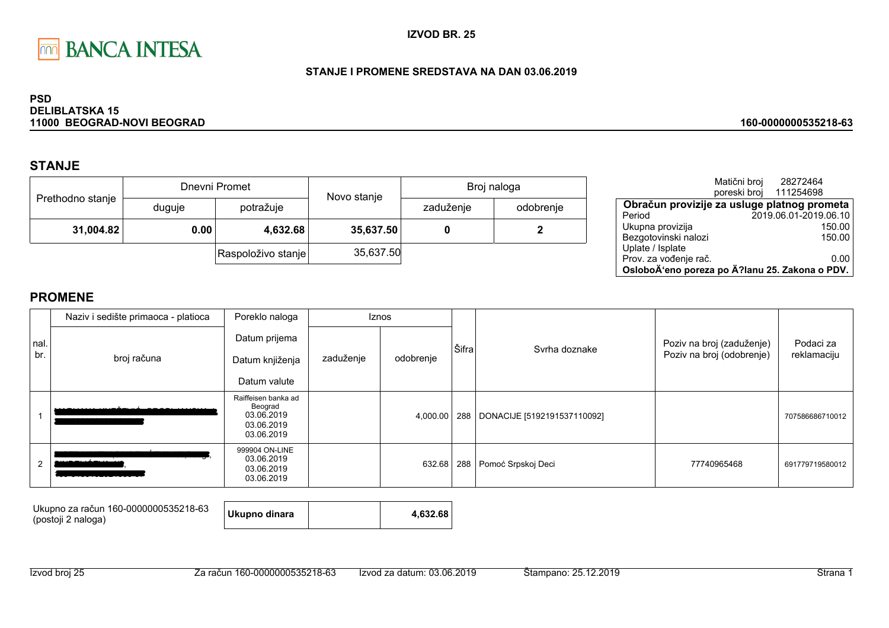

### STANJE I PROMENE SREDSTAVA NA DAN 03.06.2019

#### **PSD DELIBLATSKA 15** 11000 BEOGRAD-NOVI BEOGRAD

# **STANJE**

|                  |        | Dnevni Promet      | Novo stanje |           | Broj naloga |
|------------------|--------|--------------------|-------------|-----------|-------------|
| Prethodno stanje | duguje | potražuje          |             | zaduženje | odobrenje   |
| 31,004.82        | 0.00   | 4,632.68           | 35,637.50   |           |             |
|                  |        | Raspoloživo stanje | 35,637.50   |           |             |

|                                                | Matični broj<br>poreski broj | 28272464<br>111254698 |        |
|------------------------------------------------|------------------------------|-----------------------|--------|
| Obračun provizije za usluge platnog prometa    |                              |                       |        |
| Period                                         |                              | 2019.06.01-2019.06.10 |        |
| Ukupna provizija                               |                              |                       | 150.00 |
| Bezgotovinski nalozi                           |                              |                       | 150.00 |
| Uplate / Isplate                               |                              |                       |        |
| Prov. za vođenje rač.                          |                              |                       | 0.00   |
| OsloboÄ'eno poreza po Ä?lanu 25. Zakona o PDV. |                              |                       |        |

160-0000000535218-63

|     | Naziv i sedište primaoca - platioca | Poreklo naloga                                                           |           | Iznos     |       |                                   |                           |                 |
|-----|-------------------------------------|--------------------------------------------------------------------------|-----------|-----------|-------|-----------------------------------|---------------------------|-----------------|
| nal |                                     | Datum prijema                                                            |           |           | Šifra |                                   | Poziv na broj (zaduženje) | Podaci za       |
| br. | broj računa                         | Datum knjiženja                                                          | zaduženje | odobrenje |       | Syrha doznake                     | Poziv na broj (odobrenje) | reklamaciju     |
|     |                                     | Datum valute                                                             |           |           |       |                                   |                           |                 |
|     |                                     | Raiffeisen banka ad<br>Beograd<br>03.06.2019<br>03.06.2019<br>03.06.2019 |           | 4,000.00  |       | 288   DONACIJE [5192191537110092] |                           | 707586686710012 |
| 2   |                                     | 999904 ON-LINE<br>03.06.2019<br>03.06.2019<br>03.06.2019                 |           | 632.68    |       | 288 Pomoć Srpskoj Deci            | 77740965468               | 691779719580012 |

| Ukupno za račun 160-0000000535218-63<br>(postoji 2 naloga) | Ukupno dinara |  | 4.632.68 |
|------------------------------------------------------------|---------------|--|----------|
|------------------------------------------------------------|---------------|--|----------|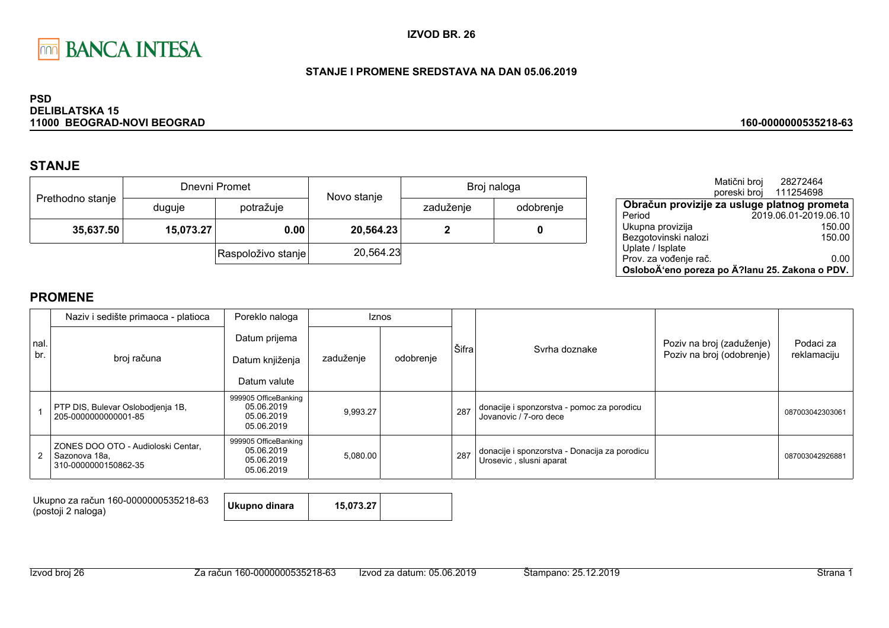

### STANJE I PROMENE SREDSTAVA NA DAN 05.06.2019

#### **PSD DELIBLATSKA 15** 11000 BEOGRAD-NOVI BEOGRAD

## **STANJE**

|                  |           | Dnevni Promet      | Novo stanje |           | Broj naloga |
|------------------|-----------|--------------------|-------------|-----------|-------------|
| Prethodno stanje | duguje    | potražuje          |             | zaduženje | odobrenje   |
| 35,637.50        | 15,073.27 | 0.00               | 20,564.23   |           |             |
|                  |           | Raspoloživo stanje | 20,564.23   |           |             |

|                                                | Matični broj | 28272464               |        |
|------------------------------------------------|--------------|------------------------|--------|
|                                                |              | poreski broj 111254698 |        |
| Obračun provizije za usluge platnog prometa    |              |                        |        |
| Period                                         |              | 2019.06.01-2019.06.10  |        |
| Ukupna provizija                               |              |                        | 150.00 |
| Bezgotovinski nalozi                           |              |                        | 150.00 |
| Uplate / Isplate                               |              |                        |        |
| Prov. za vođenje rač.                          |              |                        | 0.00   |
| OsloboÄ'eno poreza po Ä?lanu 25. Zakona o PDV. |              |                        |        |

160-0000000535218-63

## **PROMENE**

|             | Naziv i sedište primaoca - platioca                                         | Poreklo naloga                                                 |           | Iznos     |       |                                                                          |                                                        |                          |
|-------------|-----------------------------------------------------------------------------|----------------------------------------------------------------|-----------|-----------|-------|--------------------------------------------------------------------------|--------------------------------------------------------|--------------------------|
| nal.<br>br. | broj računa                                                                 | Datum prijema<br>Datum knjiženja<br>Datum valute               | zaduženje | odobrenje | Šifra | Svrha doznake                                                            | Poziv na broj (zaduženje)<br>Poziv na broj (odobrenje) | Podaci za<br>reklamaciju |
|             | PTP DIS, Bulevar Oslobodjenja 1B,<br>205-0000000000001-85                   | 999905 OfficeBanking<br>05.06.2019<br>05.06.2019<br>05.06.2019 | 9,993.27  |           | 287   | donacije i sponzorstva - pomoc za porodicu<br>Jovanovic / 7-oro dece     |                                                        | 087003042303061          |
|             | ZONES DOO OTO - Audioloski Centar,<br>Sazonova 18a,<br>310-0000000150862-35 | 999905 OfficeBanking<br>05.06.2019<br>05.06.2019<br>05.06.2019 | 5,080.00  |           | 287   | donacije i sponzorstva - Donacija za porodicu<br>Urosevic, slusni aparat |                                                        | 087003042926881          |

Ukupno za račun 160-0000000535218-63 (postoji 2 naloga)

Ukupno dinara 15,073.27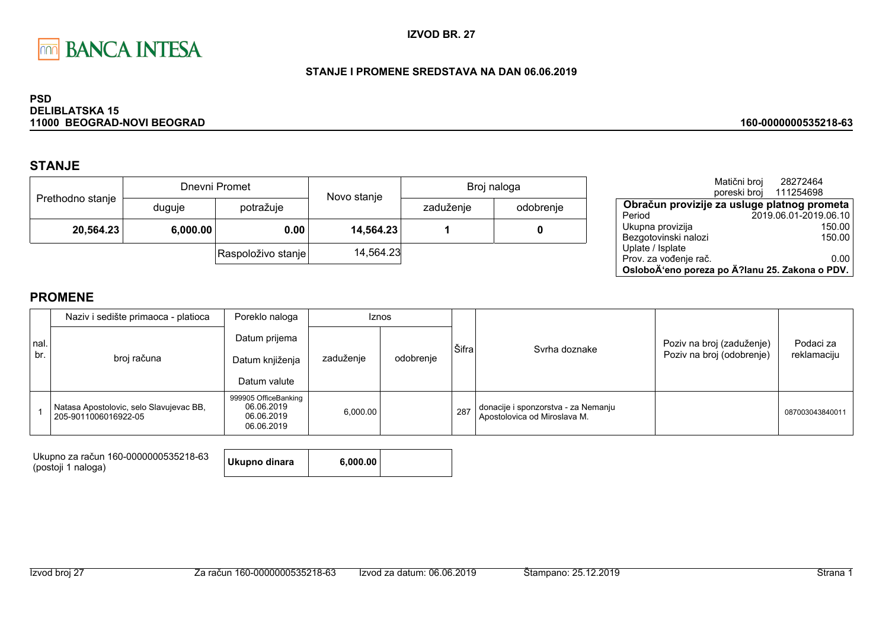

### STANJE I PROMENE SREDSTAVA NA DAN 06.06.2019

#### **PSD DELIBLATSKA 15** 11000 BEOGRAD-NOVI BEOGRAD

## **STANJE**

|                  |          | Dnevni Promet      | Novo stanje |           | Broj naloga |
|------------------|----------|--------------------|-------------|-----------|-------------|
| Prethodno stanje | duguje   | potražuje          |             | zaduženje | odobrenje   |
| 20,564.23        | 6,000.00 | 0.00               | 14,564.23   |           |             |
|                  |          | Raspoloživo stanje | 14,564.23   |           |             |

|                                                | Matični broj | 28272464<br>poreski broj 111254698 |  |
|------------------------------------------------|--------------|------------------------------------|--|
| Obračun provizije za usluge platnog prometa    |              |                                    |  |
| Period                                         |              | 2019.06.01-2019.06.10              |  |
| Ukupna provizija                               |              | 150.00                             |  |
| Bezgotovinski nalozi                           |              | 150.00                             |  |
| Uplate / Isplate                               |              |                                    |  |
| Prov. za vođenje rač.                          |              | 0.00                               |  |
| OsloboÄ'eno poreza po Ä?lanu 25. Zakona o PDV. |              |                                    |  |

160-0000000535218-63

## **PROMENE**

|              | Naziv i sedište primaoca - platioca                             | Poreklo naloga                                                 |           | <b>Iznos</b> |       |                                                                     |                                                        |                          |
|--------------|-----------------------------------------------------------------|----------------------------------------------------------------|-----------|--------------|-------|---------------------------------------------------------------------|--------------------------------------------------------|--------------------------|
| Inal.<br>br. | broj računa                                                     | Datum prijema<br>Datum knjiženja<br>Datum valute               | zaduženje | odobrenje    | Šifra | Syrha doznake                                                       | Poziv na broj (zaduženje)<br>Poziv na broj (odobrenje) | Podaci za<br>reklamaciju |
|              | Natasa Apostolovic, selo Slavujevac BB,<br>205-9011006016922-05 | 999905 OfficeBanking<br>06.06.2019<br>06.06.2019<br>06.06.2019 | 6,000.00  |              | 287   | donacije i sponzorstva - za Nemanju<br>Apostolovica od Miroslava M. |                                                        | 087003043840011          |

Ukupno za račun 160-0000000535218-63 (postoji 1 naloga)

| Ukupno dinara | 6,000.00 |  |
|---------------|----------|--|
|---------------|----------|--|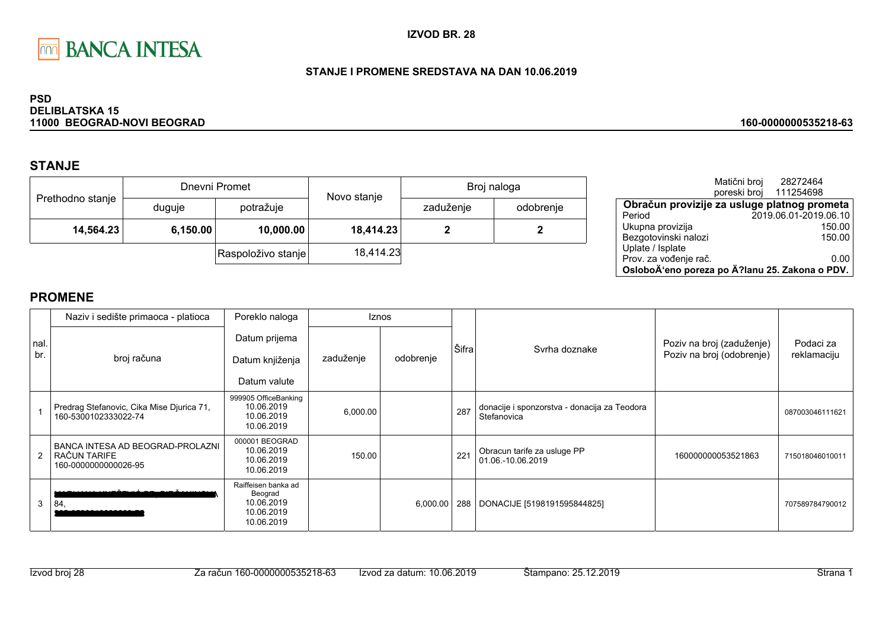

### STANJE I PROMENE SREDSTAVA NA DAN 10.06.2019

#### **PSD DELIBLATSKA 15** 11000 BEOGRAD-NOVI BEOGRAD

# **STANJE**

|                  |          | Dnevni Promet      | Novo stanje | Broj naloga |           |
|------------------|----------|--------------------|-------------|-------------|-----------|
| Prethodno stanje | duguje   | potražuje          |             | zaduženje   | odobrenje |
| 14,564.23        | 6,150.00 | 10,000.00          | 18,414.23   |             |           |
|                  |          | Raspoloživo stanje | 18,414.23   |             |           |

|                                                | Matični broj<br>poreski broj | 28272464<br>111254698 |  |
|------------------------------------------------|------------------------------|-----------------------|--|
| Obračun provizije za usluge platnog prometa    |                              |                       |  |
| Period                                         |                              | 2019.06.01-2019.06.10 |  |
| Ukupna provizija                               |                              | 150.00                |  |
| Bezgotovinski nalozi                           |                              | 150.00                |  |
| Uplate / Isplate                               |                              |                       |  |
| Prov. za vođenje rač.                          |                              | 0.00                  |  |
| OsloboÄ'eno poreza po Ä?lanu 25. Zakona o PDV. |                              |                       |  |

160-0000000535218-63

|            | Naziv i sedište primaoca - platioca                                      | Poreklo naloga                                                           |           | <b>Iznos</b> |       |                                                             |                                                        |                          |
|------------|--------------------------------------------------------------------------|--------------------------------------------------------------------------|-----------|--------------|-------|-------------------------------------------------------------|--------------------------------------------------------|--------------------------|
| nal<br>br. | broj računa                                                              | Datum prijema<br>Datum knjiženja<br>Datum valute                         | zaduženje | odobrenje    | Šifra | Syrha doznake                                               | Poziv na broj (zaduženje)<br>Poziv na broj (odobrenje) | Podaci za<br>reklamaciju |
|            | Predrag Stefanovic, Cika Mise Djurica 71,<br>160-5300102333022-74        | 999905 OfficeBanking<br>10.06.2019<br>10.06.2019<br>10.06.2019           | 6,000.00  |              | 287   | donacije i sponzorstva - donacija za Teodora<br>Stefanovica |                                                        | 087003046111621          |
| 2          | BANCA INTESA AD BEOGRAD-PROLAZNI<br>RAČUN TARIFE<br>160-0000000000026-95 | 000001 BEOGRAD<br>10.06.2019<br>10.06.2019<br>10.06.2019                 | 150.00    |              | 221   | Obracun tarife za usluge PP<br>01.06.-10.06.2019            | 160000000053521863                                     | 715018046010011          |
| 3          | 84,                                                                      | Raiffeisen banka ad<br>Beograd<br>10.06.2019<br>10.06.2019<br>10.06.2019 |           | 6,000.00     | 288   | DONACIJE [5198191595844825]                                 |                                                        | 707589784790012          |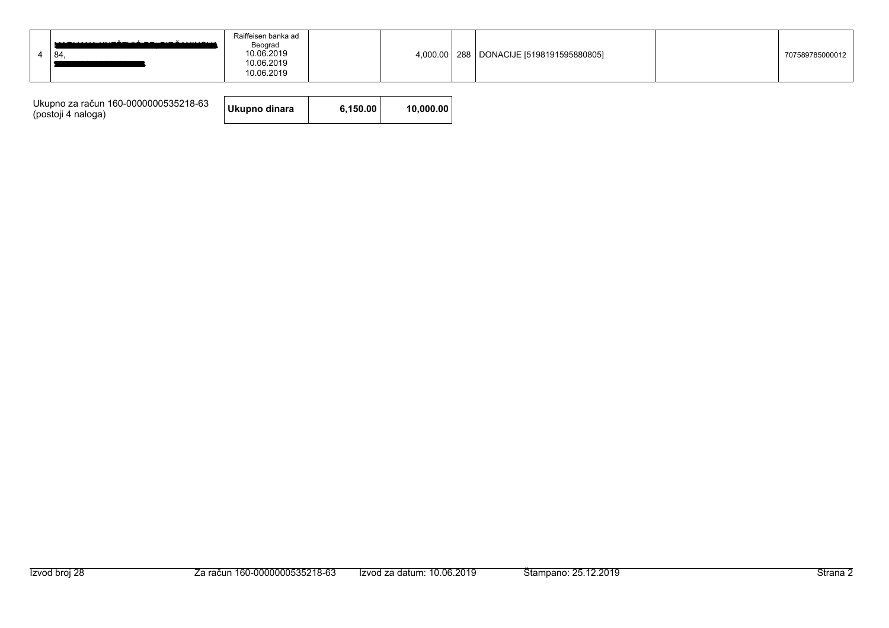|  | 84 | Raiffeisen banka ad<br>Beograd<br>10.06.2019<br>10.06.2019<br>10.06.2019 |  |  |  | 4,000.00   288   DONACIJE [5198191595880805] |  | 707589785000012 |
|--|----|--------------------------------------------------------------------------|--|--|--|----------------------------------------------|--|-----------------|
|--|----|--------------------------------------------------------------------------|--|--|--|----------------------------------------------|--|-----------------|

| Ukupno za račun 160-0000000535218-63<br>(postoji 4 naloga) | Ukupno dinara | 6.150.00 | 10.000.00 |
|------------------------------------------------------------|---------------|----------|-----------|
|------------------------------------------------------------|---------------|----------|-----------|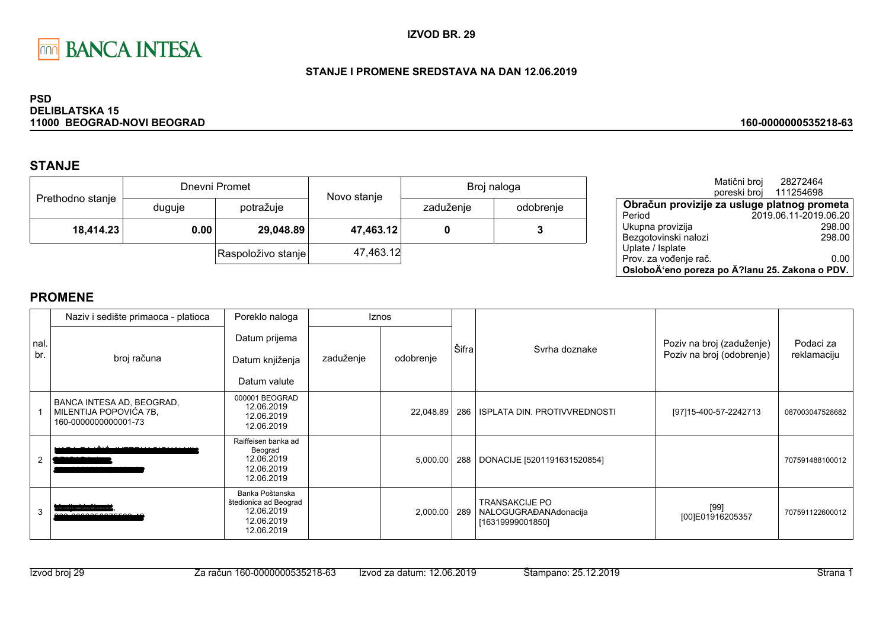

### STANJE I PROMENE SREDSTAVA NA DAN 12.06.2019

#### **PSD DELIBLATSKA 15** 11000 BEOGRAD-NOVI BEOGRAD

# **STANJE**

|                  | Dnevni Promet |                    | Novo stanje | Broj naloga |           |
|------------------|---------------|--------------------|-------------|-------------|-----------|
| Prethodno stanje | duguje        | potražuje          |             | zaduženje   | odobrenje |
| 18,414.23        | 0.00          | 29,048.89          | 47,463.12   |             |           |
|                  |               | Raspoloživo stanje | 47,463.12   |             |           |

|                                                | Matični broj<br>poreski broj | 28272464<br>111254698 |        |
|------------------------------------------------|------------------------------|-----------------------|--------|
| Obračun provizije za usluge platnog prometa    |                              |                       |        |
| Period                                         |                              | 2019.06.11-2019.06.20 |        |
| Ukupna provizija                               |                              |                       | 298.00 |
| Bezgotovinski nalozi                           |                              |                       | 298.00 |
| Uplate / Isplate                               |                              |                       |        |
| Prov. za vođenje rač.                          |                              |                       | 0.00   |
| OsloboÄ'eno poreza po Ä?lanu 25. Zakona o PDV. |                              |                       |        |

160-0000000535218-63

|            | Naziv i sedište primaoca - platioca                                         | Poreklo naloga                                                                     |           | <b>Iznos</b> |       |                                                                    |                                                        |                          |
|------------|-----------------------------------------------------------------------------|------------------------------------------------------------------------------------|-----------|--------------|-------|--------------------------------------------------------------------|--------------------------------------------------------|--------------------------|
| nal<br>br. | broj računa                                                                 | Datum prijema<br>Datum knjiženja<br>Datum valute                                   | zaduženje | odobrenje    | Šifra | Syrha doznake                                                      | Poziv na broj (zaduženje)<br>Poziv na broj (odobrenje) | Podaci za<br>reklamaciju |
|            | BANCA INTESA AD, BEOGRAD,<br>MILENTIJA POPOVIĆA 7B,<br>160-0000000000001-73 | 000001 BEOGRAD<br>12.06.2019<br>12.06.2019<br>12.06.2019                           |           | 22,048.89    |       | 286   ISPLATA DIN. PROTIVVREDNOSTI                                 | [97] 15-400-57-2242713                                 | 087003047528682          |
| 2          |                                                                             | Raiffeisen banka ad<br>Beograd<br>12.06.2019<br>12.06.2019<br>12.06.2019           |           |              |       | 5,000.00   288   DONACIJE [5201191631520854]                       |                                                        | 707591488100012          |
| 3          | ---------------                                                             | Banka Poštanska<br>štedionica ad Beograd<br>12.06.2019<br>12.06.2019<br>12.06.2019 |           | 2,000.00 289 |       | <b>TRANSAKCIJE PO</b><br>NALOGUGRAĐANAdonacija<br>[16319999001850] | $[99]$<br>[00]E01916205357                             | 707591122600012          |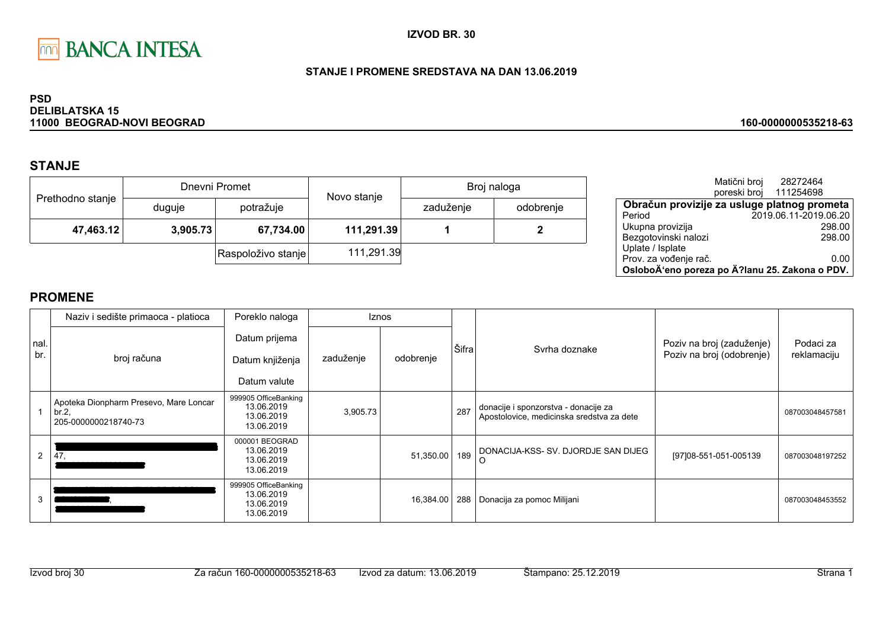

### STANJE I PROMENE SREDSTAVA NA DAN 13.06.2019

#### **PSD DELIBLATSKA 15** 11000 BEOGRAD-NOVI BEOGRAD

# **STANJE**

|                  |          | Dnevni Promet      | Novo stanje |           | Broj naloga |
|------------------|----------|--------------------|-------------|-----------|-------------|
| Prethodno stanje | duguje   | potražuje          |             | zaduženje | odobrenje   |
| 47,463.12        | 3,905.73 | 67,734.00          | 111,291.39  |           |             |
|                  |          | Raspoloživo stanje | 111,291.39  |           |             |

|                                                | Matični broj<br>poreski broj | 28272464<br>111254698 |
|------------------------------------------------|------------------------------|-----------------------|
| Obračun provizije za usluge platnog prometa    |                              |                       |
| Period                                         |                              | 2019.06.11-2019.06.20 |
| Ukupna provizija                               |                              | 298.00                |
| Bezgotovinski nalozi                           |                              | 298.00                |
| Uplate / Isplate                               |                              |                       |
| Prov. za vođenje rač.                          |                              | 0.00                  |
| OsloboÄ'eno poreza po Ä?lanu 25. Zakona o PDV. |                              |                       |

160-0000000535218-63

|              | Naziv i sedište primaoca - platioca                                     | Poreklo naloga                                                 | Iznos     |           |       |                                                                                   |                                                        |                          |
|--------------|-------------------------------------------------------------------------|----------------------------------------------------------------|-----------|-----------|-------|-----------------------------------------------------------------------------------|--------------------------------------------------------|--------------------------|
| Inal.<br>br. | broj računa                                                             | Datum prijema<br>Datum knjiženja<br>Datum valute               | zaduženje | odobrenje | Šifra | Syrha doznake                                                                     | Poziv na broj (zaduženje)<br>Poziv na broj (odobrenje) | Podaci za<br>reklamaciju |
|              | Apoteka Dionpharm Presevo, Mare Loncar<br>br.2,<br>205-0000000218740-73 | 999905 OfficeBanking<br>13.06.2019<br>13.06.2019<br>13.06.2019 | 3,905.73  |           | 287   | donacije i sponzorstva - donacije za<br>Apostolovice, medicinska sredstva za dete |                                                        | 087003048457581          |
| 2            | 47.                                                                     | 000001 BEOGRAD<br>13.06.2019<br>13.06.2019<br>13.06.2019       |           | 51,350.00 | 189   | DONACIJA-KSS- SV. DJORDJE SAN DIJEG                                               | [97]08-551-051-005139                                  | 087003048197252          |
| 3            |                                                                         | 999905 OfficeBanking<br>13.06.2019<br>13.06.2019<br>13.06.2019 |           | 16,384.00 | 288   | Donacija za pomoc Milijani                                                        |                                                        | 087003048453552          |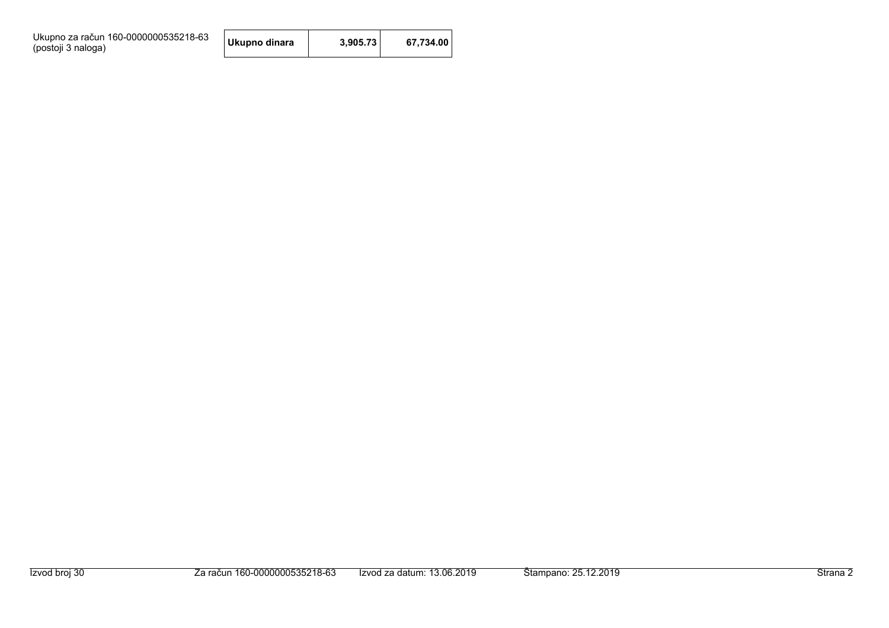Ukupno za račun 160-0000000535218-63<br>(postoji 3 naloga)

| Ukupno dinara | 3,905.73 | 67,734.00 |
|---------------|----------|-----------|
|---------------|----------|-----------|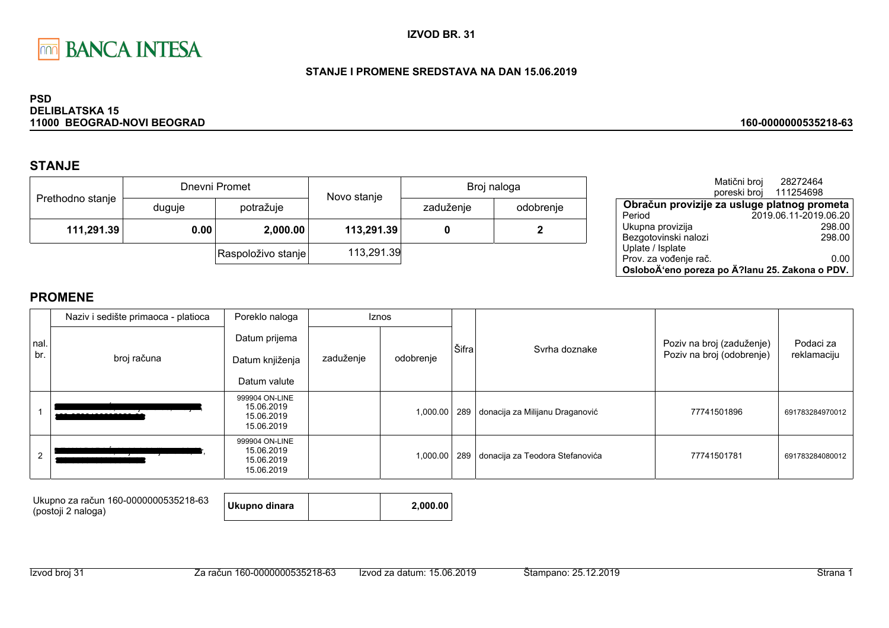

### STANJE I PROMENE SREDSTAVA NA DAN 15.06.2019

#### **PSD DELIBLATSKA 15** 11000 BEOGRAD-NOVI BEOGRAD

## **STANJE**

|                  |        | Dnevni Promet      | Novo stanje | Broj naloga |           |  |
|------------------|--------|--------------------|-------------|-------------|-----------|--|
| Prethodno stanje | duguje | potražuje          |             | zaduženje   | odobrenje |  |
| 111,291.39       | 0.00   | 2,000.00           | 113,291.39  |             | 2         |  |
|                  |        | Raspoloživo stanje | 113,291.39  |             |           |  |

|                                                | Matični broj<br>poreski broj | 28272464<br>111254698 |
|------------------------------------------------|------------------------------|-----------------------|
| Obračun provizije za usluge platnog prometa    |                              |                       |
| Period                                         |                              | 2019.06.11-2019.06.20 |
| Ukupna provizija                               |                              | 298.00                |
| Bezgotovinski nalozi                           |                              | 298.00                |
| Uplate / Isplate                               |                              |                       |
| Prov. za vođenje rač.                          |                              | 0.00                  |
| OsloboÄ'eno poreza po Ä?lanu 25. Zakona o PDV. |                              |                       |

160-0000000535218-63

## **PROMENE**

|             | Poreklo naloga<br>Naziv i sedište primaoca - platioca |                                                          | <b>Iznos</b> |           |       |                                 |                                                        |                          |
|-------------|-------------------------------------------------------|----------------------------------------------------------|--------------|-----------|-------|---------------------------------|--------------------------------------------------------|--------------------------|
| nal.<br>br. | broj računa                                           | Datum prijema<br>Datum knjiženja<br>Datum valute         | zaduženje    | odobrenje | Šifra | Svrha doznake                   | Poziv na broj (zaduženje)<br>Poziv na broj (odobrenje) | Podaci za<br>reklamaciju |
|             |                                                       | 999904 ON-LINE<br>15.06.2019<br>15.06.2019<br>15.06.2019 |              | 1,000.00  | 289   | donacija za Milijanu Draganović | 77741501896                                            | 691783284970012          |
| 2           |                                                       | 999904 ON-LINE<br>15.06.2019<br>15.06.2019<br>15.06.2019 |              | 1,000.00  | 289   | donacija za Teodora Stefanovića | 77741501781                                            | 691783284080012          |

Ukupno za račun 160-0000000535218-63 (postoji 2 naloga)

Ukupno dinara

2,000.00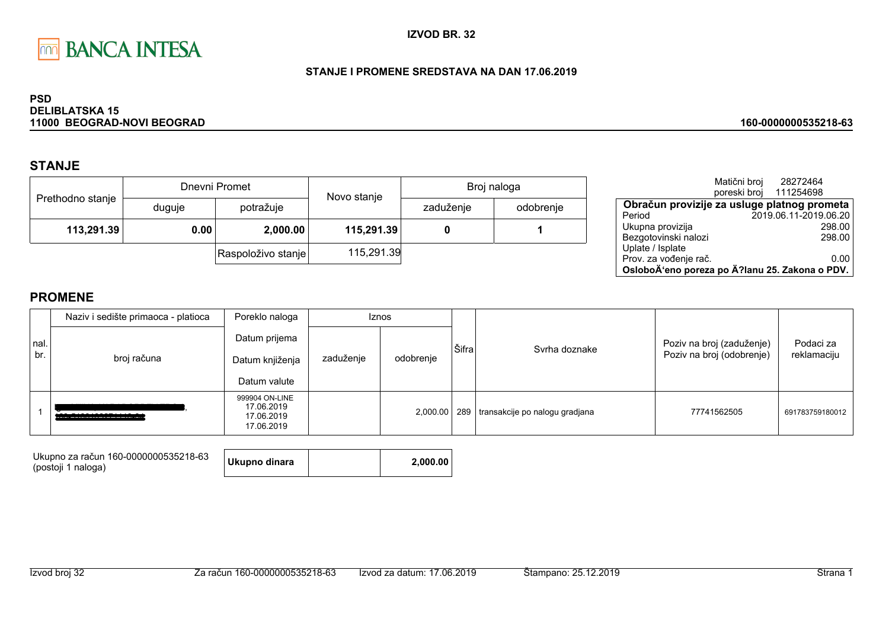

### STANJE I PROMENE SREDSTAVA NA DAN 17.06.2019

#### **PSD DELIBLATSKA 15** 11000 BEOGRAD-NOVI BEOGRAD

# **STANJE**

|                  | Dnevni Promet |                    | Novo stanje | Broj naloga |           |  |
|------------------|---------------|--------------------|-------------|-------------|-----------|--|
| Prethodno stanje | duguje        | potražuje          |             | zaduženje   | odobrenje |  |
| 113,291.39       | 0.00          | 2,000.00           | 115,291.39  |             |           |  |
|                  |               | Raspoloživo stanje | 115,291.39  |             |           |  |

|                                                | Matični broj | 28272464<br>poreski broj 111254698 |        |
|------------------------------------------------|--------------|------------------------------------|--------|
| Obračun provizije za usluge platnog prometa    |              |                                    |        |
| Period                                         |              | 2019.06.11-2019.06.20              |        |
| Ukupna provizija                               |              |                                    | 298.00 |
| Bezgotovinski nalozi                           |              |                                    | 298.00 |
| Uplate / Isplate                               |              |                                    |        |
| Prov. za vođenje rač.                          |              |                                    | 0.00   |
| OsloboÄ'eno poreza po Ä?lanu 25. Zakona o PDV. |              |                                    |        |

160-0000000535218-63

|             | Naziv i sedište primaoca - platioca | Poreklo naloga                                           | <b>Iznos</b> |           |       |                                                 |                                                        |                          |
|-------------|-------------------------------------|----------------------------------------------------------|--------------|-----------|-------|-------------------------------------------------|--------------------------------------------------------|--------------------------|
| nal.<br>br. | broj računa                         | Datum prijema<br>Datum knjiženja<br>Datum valute         | zaduženje    | odobrenje | Šifra | Syrha doznake                                   | Poziv na broj (zaduženje)<br>Poziv na broj (odobrenje) | Podaci za<br>reklamaciju |
|             | _______________________             | 999904 ON-LINE<br>17.06.2019<br>17.06.2019<br>17.06.2019 |              |           |       | 2,000.00   289   transakcije po nalogu gradjana | 77741562505                                            | 691783759180012          |

| Ukupno za račun 160-0000000535218-63 | <b>Ukupr</b> |
|--------------------------------------|--------------|
| (postoji 1 naloga)                   |              |

| าo dinara | 2,000.00 |
|-----------|----------|
|-----------|----------|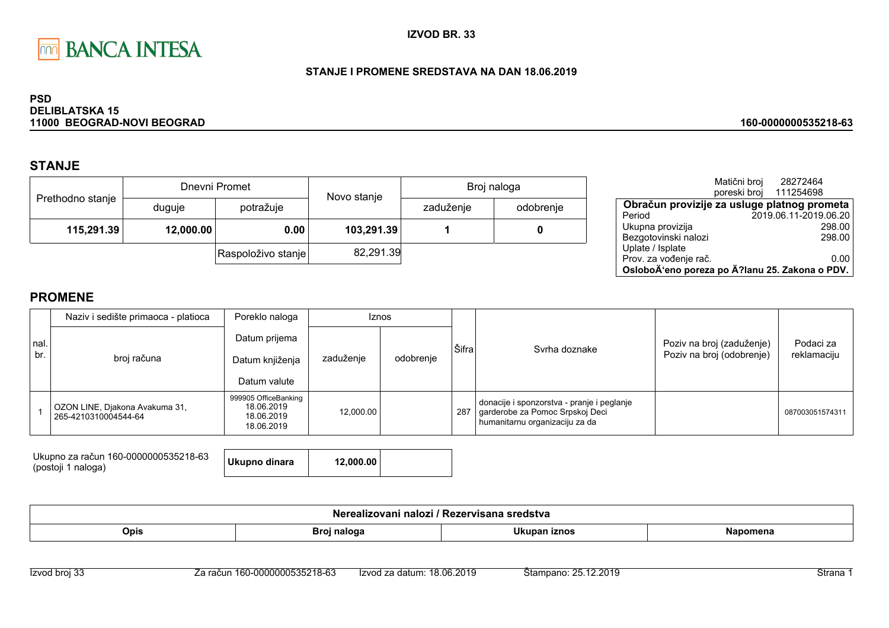

### STANJE I PROMENE SREDSTAVA NA DAN 18.06.2019

#### **PSD DELIBLATSKA 15** 11000 BEOGRAD-NOVI BEOGRAD

# **STANJE**

|                  |           | Dnevni Promet      | Novo stanje | Broj naloga |           |  |
|------------------|-----------|--------------------|-------------|-------------|-----------|--|
| Prethodno stanje | duguje    | potražuje          |             | zaduženje   | odobrenje |  |
| 115,291.39       | 12,000.00 | 0.00               | 103,291.39  |             |           |  |
|                  |           | Raspoloživo stanje | 82,291.39   |             |           |  |

|                                                | Matični broj | 28272464              |
|------------------------------------------------|--------------|-----------------------|
|                                                | poreski broj | 111254698             |
| Obračun provizije za usluge platnog prometa    |              |                       |
| Period                                         |              | 2019.06.11-2019.06.20 |
| Ukupna provizija                               |              | 298.00                |
| Bezgotovinski nalozi                           |              | 298.00                |
| Uplate / Isplate                               |              |                       |
| Prov. za vođenje rač.                          |              | 0.00                  |
| OsloboÄ'eno poreza po Ä?lanu 25. Zakona o PDV. |              |                       |

160-0000000535218-63

|             | Poreklo naloga<br>Naziv i sedište primaoca - platioca  |                                                                | <b>Iznos</b> |           |       |                                                                                                                 |                                                        |                          |
|-------------|--------------------------------------------------------|----------------------------------------------------------------|--------------|-----------|-------|-----------------------------------------------------------------------------------------------------------------|--------------------------------------------------------|--------------------------|
| nal.<br>br. | broj računa                                            | Datum prijema<br>Datum knjiženja<br>Datum valute               | zaduženje    | odobrenje | Šifra | Syrha doznake                                                                                                   | Poziv na broj (zaduženje)<br>Poziv na broj (odobrenje) | Podaci za<br>reklamaciju |
|             | OZON LINE, Djakona Avakuma 31,<br>265-4210310004544-64 | 999905 OfficeBanking<br>18.06.2019<br>18.06.2019<br>18.06.2019 | 12,000.00    |           | 287   | donacije i sponzorstva - pranje i peglanje<br>garderobe za Pomoc Srpskoj Deci<br>humanitarnu organizaciju za da |                                                        | 087003051574311          |

| Ukupno za račun 160-0000000535218-63<br>(postoji 1 naloga) | Ukupno dinara | 12,000.00 |  |
|------------------------------------------------------------|---------------|-----------|--|
|                                                            |               |           |  |

| ימות<br>zovani<br>$\mathbf{r}$ $\mathbf{r}$ $\mathbf{r}$<br>----<br>. .<br>nalozi<br>sredstva<br>zei visalia<br>NU |               |             |  |  |  |  |
|--------------------------------------------------------------------------------------------------------------------|---------------|-------------|--|--|--|--|
| <b>Opis</b>                                                                                                        | — Broi ne!e≝∈ | <br>.''unan |  |  |  |  |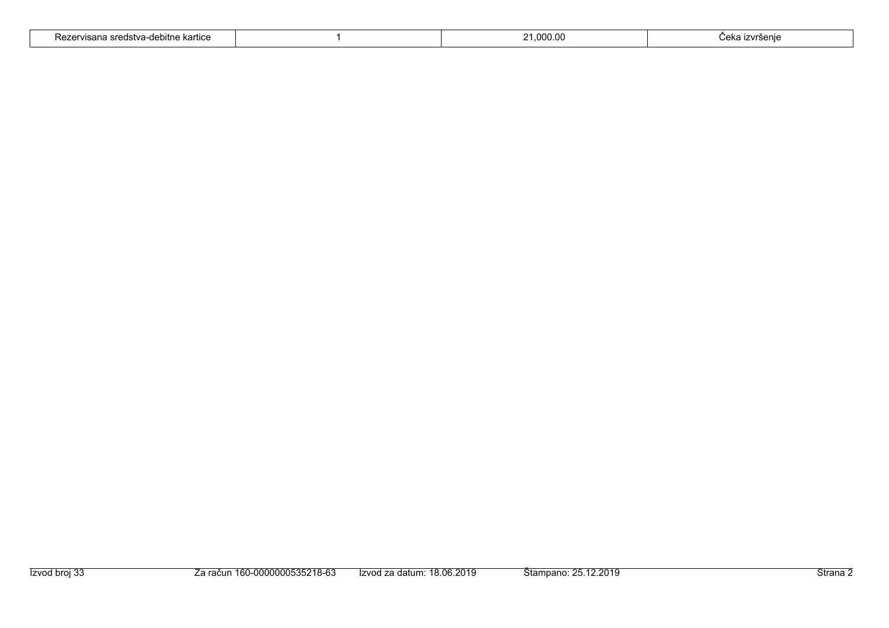| - -<br>: kartıce<br>A <sub>nn</sub><br>nono<br>visal la<br>`\GZ<br>-טפטונוופ<br>uotva |  | റററ | $'$ nizo<br>.<br>7.150 or<br>. |
|---------------------------------------------------------------------------------------|--|-----|--------------------------------|
|---------------------------------------------------------------------------------------|--|-----|--------------------------------|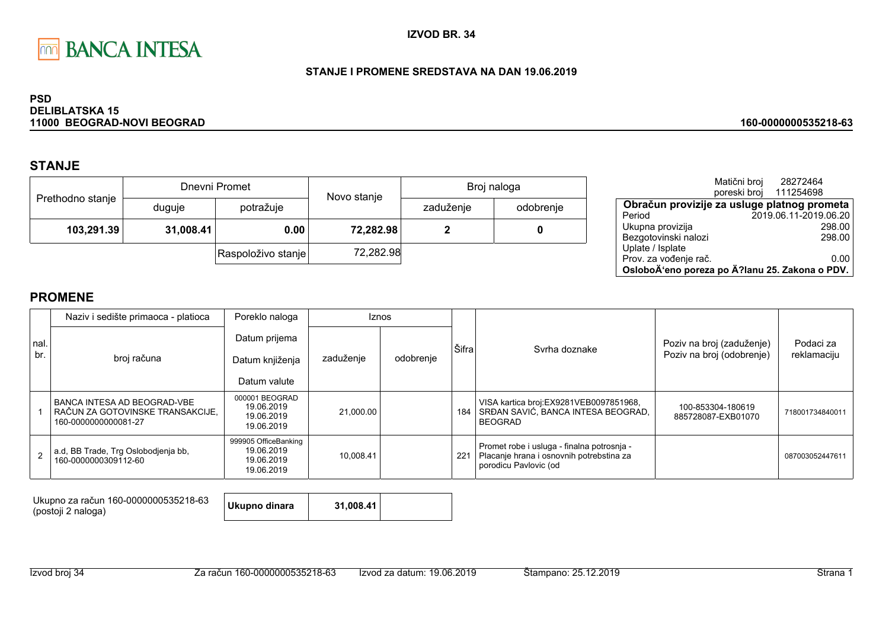

### STANJE I PROMENE SREDSTAVA NA DAN 19.06.2019

#### **PSD DELIBLATSKA 15** 11000 BEOGRAD-NOVI BEOGRAD

## **STANJE**

|                  |           | Dnevni Promet      | Novo stanje | Broj naloga |           |  |
|------------------|-----------|--------------------|-------------|-------------|-----------|--|
| Prethodno stanje | duguje    | potražuje          |             | zaduženje   | odobrenje |  |
| 103,291.39       | 31,008.41 | 0.00               | 72,282.98   |             |           |  |
|                  |           | Raspoloživo stanje | 72,282.98   |             |           |  |

|                                                | Matični broj | 28272464               |
|------------------------------------------------|--------------|------------------------|
|                                                |              | poreski broj 111254698 |
| Obračun provizije za usluge platnog prometa    |              |                        |
| Period                                         |              | 2019.06.11-2019.06.20  |
| Ukupna provizija                               |              | 298.00                 |
| Bezgotovinski nalozi                           |              | 298.00                 |
| Uplate / Isplate                               |              |                        |
| Prov. za vođenje rač.                          |              | 0.00                   |
| OsloboÄ'eno poreza po Ä?lanu 25. Zakona o PDV. |              |                        |

160-0000000535218-63

## **PROMENE**

|             | Naziv i sedište primaoca - platioca                                                       | Poreklo naloga                                                 |           | <b>Iznos</b> |       |                                                                                                                 |                                         | Podaci za<br>reklamaciju |
|-------------|-------------------------------------------------------------------------------------------|----------------------------------------------------------------|-----------|--------------|-------|-----------------------------------------------------------------------------------------------------------------|-----------------------------------------|--------------------------|
| nal.<br>br. |                                                                                           | Datum prijema                                                  |           |              | Šifra | Svrha doznake                                                                                                   | Poziv na broj (zaduženje)               |                          |
|             | broj računa                                                                               | Datum knjiženja                                                | zaduženje | odobrenje    |       |                                                                                                                 | Poziv na broj (odobrenje)               |                          |
|             |                                                                                           | Datum valute                                                   |           |              |       |                                                                                                                 |                                         |                          |
|             | I BANCA INTESA AD BEOGRAD-VBE<br>RAČUN ZA GOTOVINSKE TRANSAKCIJE.<br>160-0000000000081-27 | 000001 BEOGRAD<br>19.06.2019<br>19.06.2019<br>19.06.2019       | 21,000.00 |              | 184   | VISA kartica broj:EX9281VEB0097851968,<br>SRĐAN SAVIĆ, BANCA INTESA BEOGRAD,<br><b>BEOGRAD</b>                  | 100-853304-180619<br>885728087-EXB01070 | 718001734840011          |
|             | a.d, BB Trade, Trg Oslobodjenja bb,<br>160-0000000309112-60                               | 999905 OfficeBanking<br>19.06.2019<br>19.06.2019<br>19.06.2019 | 10.008.41 |              | 221   | Promet robe i usluga - finalna potrosnja -<br>Placanje hrana i osnovnih potrebstina za<br>porodicu Pavlovic (od |                                         | 087003052447611          |

Ukupno za račun 160-0000000535218-63 (postoji 2 naloga)

Ukupno dinara 31,008.41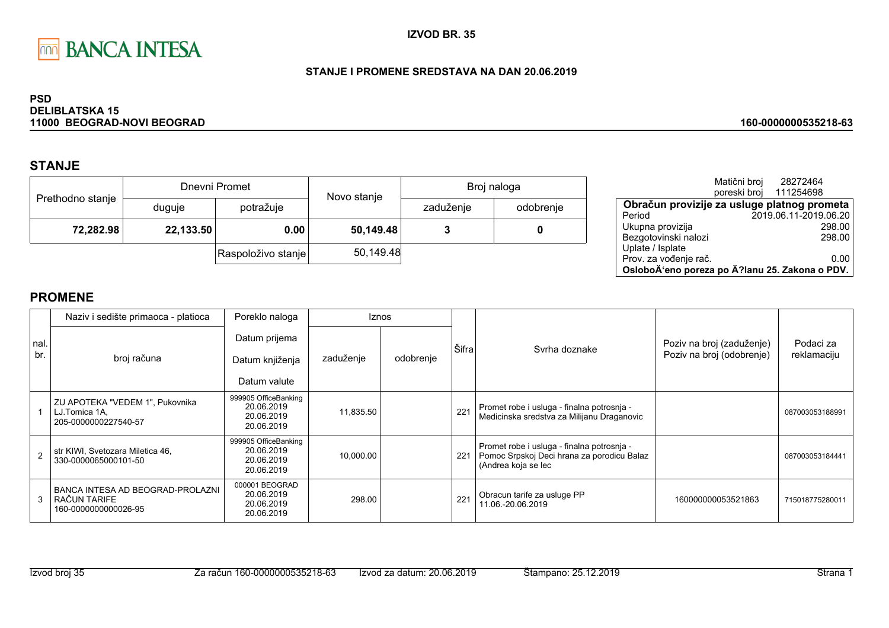

### STANJE I PROMENE SREDSTAVA NA DAN 20.06.2019

#### **PSD DELIBLATSKA 15** 11000 BEOGRAD-NOVI BEOGRAD

# **STANJE**

|                  |           | Dnevni Promet      | Novo stanje | Broj naloga |           |  |
|------------------|-----------|--------------------|-------------|-------------|-----------|--|
| Prethodno stanje | duguje    | potražuje          |             | zaduženje   | odobrenje |  |
| 72,282.98        | 22,133.50 | 0.00               | 50,149.48   |             |           |  |
|                  |           | Raspoloživo stanje | 50,149.48   |             |           |  |

|                                                | Matični broj | 28272464              |        |
|------------------------------------------------|--------------|-----------------------|--------|
|                                                | poreski broj | 111254698             |        |
| Obračun provizije za usluge platnog prometa    |              |                       |        |
| Period                                         |              | 2019.06.11-2019.06.20 |        |
| Ukupna provizija                               |              |                       | 298.00 |
| Bezgotovinski nalozi                           |              |                       | 298.00 |
| Uplate / Isplate                               |              |                       |        |
| Prov. za vođenje rač.                          |              |                       | 0.00   |
| OsloboÄ'eno poreza po Ä?lanu 25. Zakona o PDV. |              |                       |        |

160-0000000535218-63

|            | Naziv i sedište primaoca - platioca                                      | Poreklo naloga                                                 |           | <b>Iznos</b> |       |                                                                                                                 |                                                        |                          |
|------------|--------------------------------------------------------------------------|----------------------------------------------------------------|-----------|--------------|-------|-----------------------------------------------------------------------------------------------------------------|--------------------------------------------------------|--------------------------|
| nal<br>br. | broj računa                                                              | Datum prijema<br>Datum knjiženja<br>Datum valute               | zaduženje | odobrenje    | Šifra | Syrha doznake                                                                                                   | Poziv na broj (zaduženje)<br>Poziv na broj (odobrenje) | Podaci za<br>reklamaciju |
|            | ZU APOTEKA "VEDEM 1", Pukovnika<br>LJ.Tomica 1A,<br>205-0000000227540-57 | 999905 OfficeBanking<br>20.06.2019<br>20.06.2019<br>20.06.2019 | 11,835.50 |              | 221   | Promet robe i usluga - finalna potrosnja -<br>Medicinska sredstva za Milijanu Draganovic                        |                                                        | 087003053188991          |
|            | str KIWI, Svetozara Miletica 46,<br>330-0000065000101-50                 | 999905 OfficeBanking<br>20.06.2019<br>20.06.2019<br>20.06.2019 | 10,000.00 |              | 221   | Promet robe i usluga - finalna potrosnja -<br>Pomoc Srpskoj Deci hrana za porodicu Balaz<br>(Andrea koja se lec |                                                        | 087003053184441          |
| 3          | BANCA INTESA AD BEOGRAD-PROLAZNI<br>RAČUN TARIFE<br>160-0000000000026-95 | 000001 BEOGRAD<br>20.06.2019<br>20.06.2019<br>20.06.2019       | 298.00    |              | 221   | Obracun tarife za usluge PP<br>11.06.-20.06.2019                                                                | 160000000053521863                                     | 715018775280011          |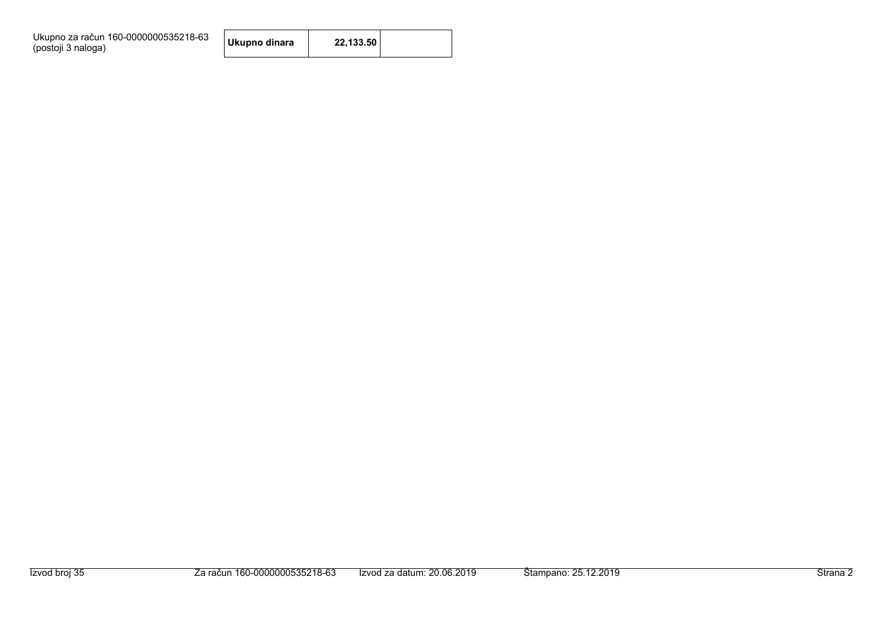Ukupno za račun 160-0000000535218-63<br>(postoji 3 naloga)

| Ukupno dinara | 22,133.50 |  |
|---------------|-----------|--|
|---------------|-----------|--|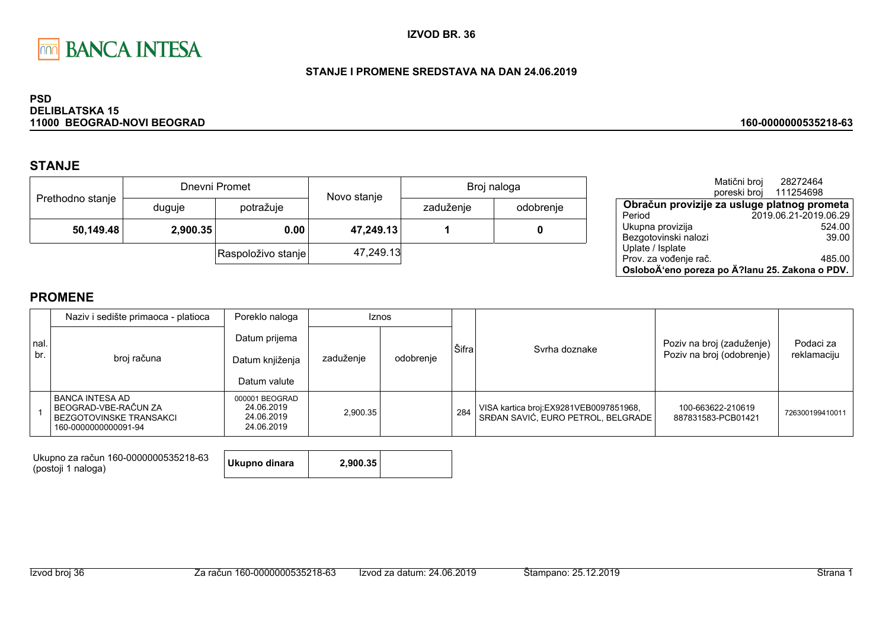

### STANJE I PROMENE SREDSTAVA NA DAN 24.06.2019

#### **PSD DELIBLATSKA 15** 11000 BEOGRAD-NOVI BEOGRAD

## **STANJE**

|                  |          | Dnevni Promet      | Broj naloga<br>Novo stanje |           |           |  |
|------------------|----------|--------------------|----------------------------|-----------|-----------|--|
| Prethodno stanje | duguje   | potražuje          |                            | zaduženje | odobrenje |  |
| 50,149.48        | 2,900.35 | 0.00               | 47,249.13                  |           |           |  |
|                  |          | Raspoloživo stanje | 47,249.13                  |           |           |  |

|                                                | Matični broj | 28272464<br>poreski broj 111254698 |        |
|------------------------------------------------|--------------|------------------------------------|--------|
| Obračun provizije za usluge platnog prometa    |              |                                    |        |
| Period                                         |              | 2019.06.21-2019.06.29              |        |
| Ukupna provizija                               |              |                                    | 524.00 |
| Bezgotovinski nalozi                           |              |                                    | 39.00  |
| Uplate / Isplate                               |              |                                    |        |
| Prov. za vođenje rač.                          |              |                                    | 485.00 |
| OsloboÄ'eno poreza po Ä?lanu 25. Zakona o PDV. |              |                                    |        |

160-0000000535218-63

## **PROMENE**

|             | Naziv i sedište primaoca - platioca                                                            | Poreklo naloga                                           | <b>Iznos</b> |           |       |                                                                              |                                                        |                          |
|-------------|------------------------------------------------------------------------------------------------|----------------------------------------------------------|--------------|-----------|-------|------------------------------------------------------------------------------|--------------------------------------------------------|--------------------------|
| nal.<br>br. | broj računa                                                                                    | Datum prijema<br>Datum knjiženja<br>Datum valute         | zaduženje    | odobrenje | Šifra | Syrha doznake                                                                | Poziv na broj (zaduženje)<br>Poziv na broj (odobrenje) | Podaci za<br>reklamaciju |
|             | I BANCA INTESA AD<br>BEOGRAD-VBE-RAČUN ZA<br>I BEZGOTOVINSKE TRANSAKCI<br>160-0000000000091-94 | 000001 BEOGRAD<br>24.06.2019<br>24.06.2019<br>24.06.2019 | 2.900.35     |           | 284   | VISA kartica broj:EX9281VEB0097851968,<br>SRDAN SAVIĆ, EURO PETROL, BELGRADE | 100-663622-210619<br>887831583-PCB01421                | 726300199410011          |

Ukupno za račun 160-0000000535218-63 (postoji 1 naloga)

| Ukupno dinara | 2,900.35 |  |
|---------------|----------|--|
|---------------|----------|--|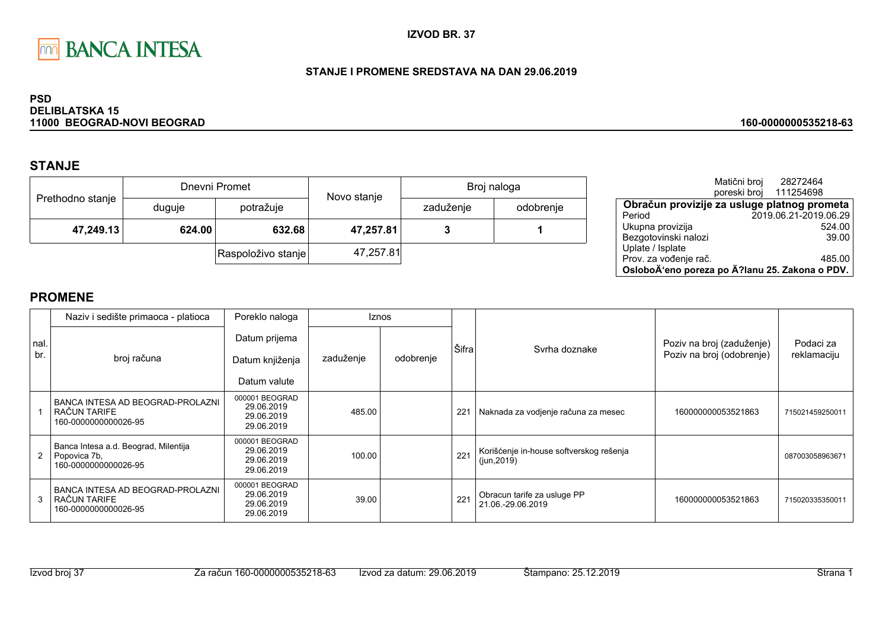

### STANJE I PROMENE SREDSTAVA NA DAN 29.06.2019

#### **PSD DELIBLATSKA 15** 11000 BEOGRAD-NOVI BEOGRAD

# **STANJE**

|                  |                  | Dnevni Promet      | Novo stanje | Broj naloga |           |  |
|------------------|------------------|--------------------|-------------|-------------|-----------|--|
| Prethodno stanje | duguje           | potražuje          |             | zaduženje   | odobrenje |  |
| 47,249.13        | 632.68<br>624.00 |                    | 47,257.81   |             |           |  |
|                  |                  | Raspoloživo stanje | 47,257.81   |             |           |  |

|                                                | Matični broj<br>poreski broj | 28272464<br>111254698 |
|------------------------------------------------|------------------------------|-----------------------|
| Obračun provizije za usluge platnog prometa    |                              |                       |
| Period                                         |                              | 2019.06.21-2019.06.29 |
| Ukupna provizija                               |                              | 524.00                |
| Bezgotovinski nalozi                           |                              | 39.00                 |
| Uplate / Isplate                               |                              |                       |
| Prov. za vođenje rač.                          |                              | 485.00                |
| OsloboÄ'eno poreza po Ä?lanu 25. Zakona o PDV. |                              |                       |

160-0000000535218-63

|             | Naziv i sedište primaoca - platioca                                          | Poreklo naloga                                           |           | <b>Iznos</b> |       |                                                        |                                                        |                          |
|-------------|------------------------------------------------------------------------------|----------------------------------------------------------|-----------|--------------|-------|--------------------------------------------------------|--------------------------------------------------------|--------------------------|
| Inal<br>br. | broj računa                                                                  | Datum prijema<br>Datum knjiženja<br>Datum valute         | zaduženje | odobrenje    | Šifra | Syrha doznake                                          | Poziv na broj (zaduženje)<br>Poziv na broj (odobrenje) | Podaci za<br>reklamaciju |
|             | BANCA INTESA AD BEOGRAD-PROLAZNI<br>RAČUN TARIFE<br>160-0000000000026-95     | 000001 BEOGRAD<br>29.06.2019<br>29.06.2019<br>29.06.2019 | 485.00    |              | 221   | Naknada za vodjenje računa za mesec                    | 160000000053521863                                     | 715021459250011          |
| 2           | Banca Intesa a.d. Beograd, Milentija<br>Popovica 7b,<br>160-0000000000026-95 | 000001 BEOGRAD<br>29.06.2019<br>29.06.2019<br>29.06.2019 | 100.00    |              | 221   | Korišćenje in-house softverskog rešenja<br>(iun, 2019) |                                                        | 087003058963671          |
| 3           | BANCA INTESA AD BEOGRAD-PROLAZNI<br>RAČUN TARIFE<br>160-0000000000026-95     | 000001 BEOGRAD<br>29.06.2019<br>29.06.2019<br>29.06.2019 | 39.00     |              | 221   | Obracun tarife za usluge PP<br>21.06.-29.06.2019       | 160000000053521863                                     | 715020335350011          |